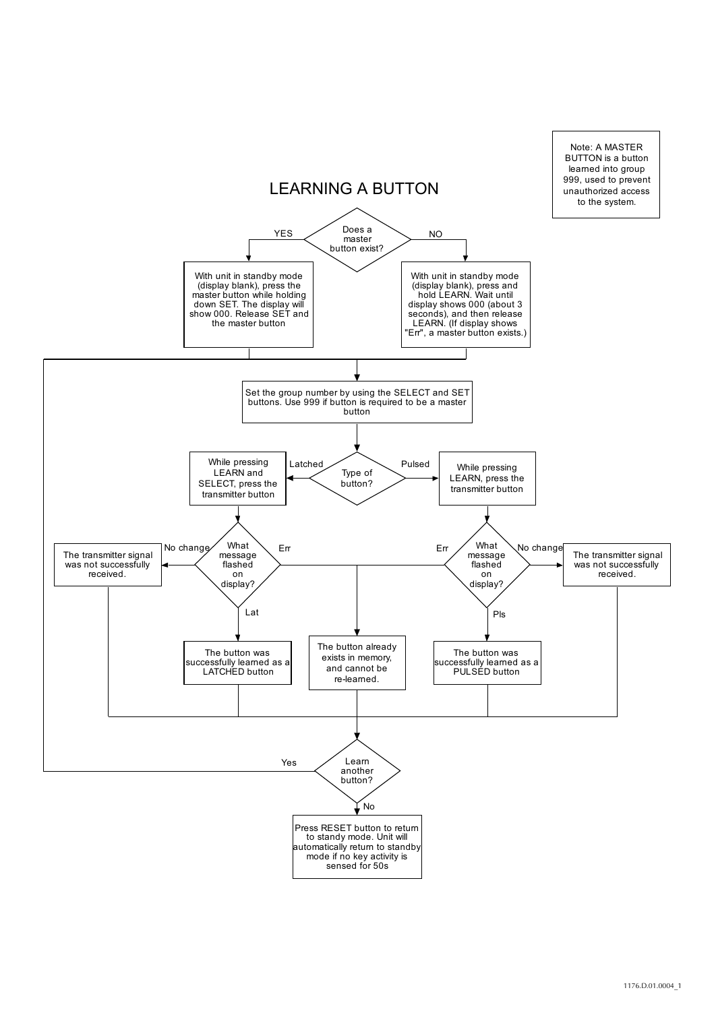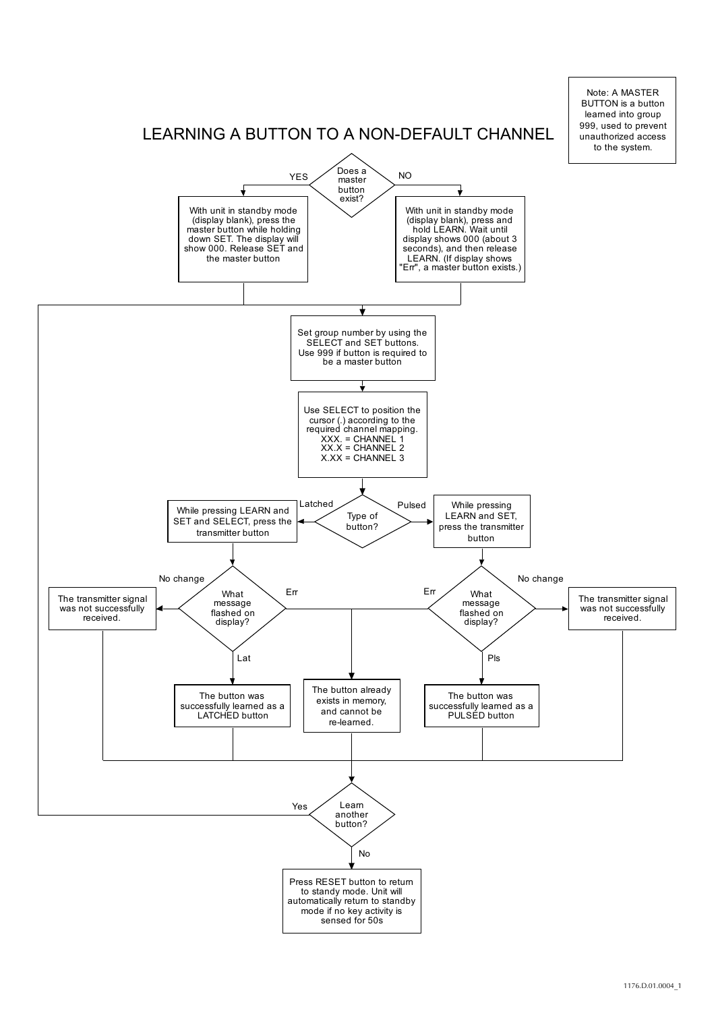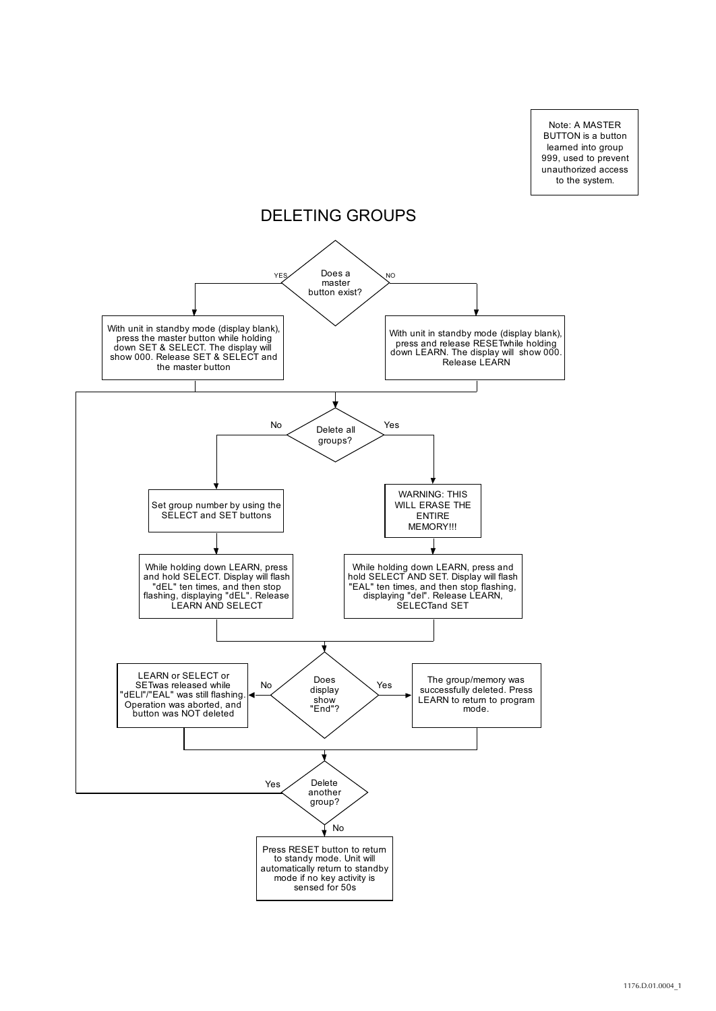Note: A MASTER BUTTON is a button learned into group 999, used to prevent unauthorized access to the system.